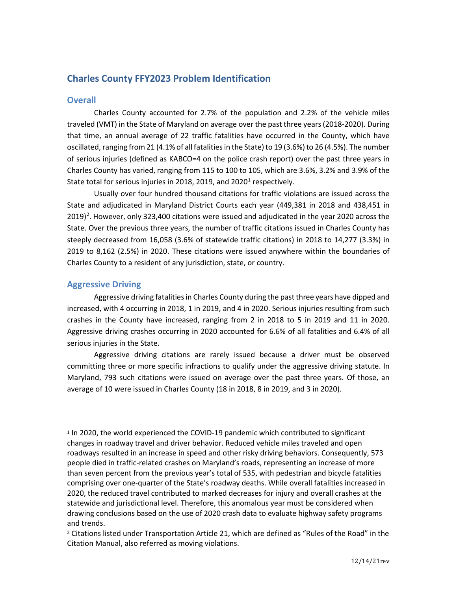# **Charles County FFY2023 Problem Identification**

## **Overall**

Charles County accounted for 2.7% of the population and 2.2% of the vehicle miles traveled (VMT) in the State of Maryland on average over the past three years (2018-2020). During that time, an annual average of 22 traffic fatalities have occurred in the County, which have oscillated, ranging from 21 (4.1% of all fatalities in the State) to 19 (3.6%) to 26 (4.5%). The number of serious injuries (defined as KABCO=4 on the police crash report) over the past three years in Charles County has varied, ranging from 115 to 100 to 105, which are 3.6%, 3.2% and 3.9% of the State total for serious injuries in 20[1](#page-0-0)8, 2019, and 2020<sup>1</sup> respectively.

Usually over four hundred thousand citations for traffic violations are issued across the State and adjudicated in Maryland District Courts each year (449,381 in 2018 and 438,451 in [2](#page-0-1)019)<sup>2</sup>. However, only 323,400 citations were issued and adjudicated in the year 2020 across the State. Over the previous three years, the number of traffic citations issued in Charles County has steeply decreased from 16,058 (3.6% of statewide traffic citations) in 2018 to 14,277 (3.3%) in 2019 to 8,162 (2.5%) in 2020. These citations were issued anywhere within the boundaries of Charles County to a resident of any jurisdiction, state, or country.

## **Aggressive Driving**

Aggressive driving fatalities in Charles County during the past three years have dipped and increased, with 4 occurring in 2018, 1 in 2019, and 4 in 2020. Serious injuries resulting from such crashes in the County have increased, ranging from 2 in 2018 to 5 in 2019 and 11 in 2020. Aggressive driving crashes occurring in 2020 accounted for 6.6% of all fatalities and 6.4% of all serious injuries in the State.

Aggressive driving citations are rarely issued because a driver must be observed committing three or more specific infractions to qualify under the aggressive driving statute. In Maryland, 793 such citations were issued on average over the past three years. Of those, an average of 10 were issued in Charles County (18 in 2018, 8 in 2019, and 3 in 2020).

<span id="page-0-0"></span><sup>1</sup> In 2020, the world experienced the COVID-19 pandemic which contributed to significant changes in roadway travel and driver behavior. Reduced vehicle miles traveled and open roadways resulted in an increase in speed and other risky driving behaviors. Consequently, 573 people died in traffic-related crashes on Maryland's roads, representing an increase of more than seven percent from the previous year's total of 535, with pedestrian and bicycle fatalities comprising over one-quarter of the State's roadway deaths. While overall fatalities increased in 2020, the reduced travel contributed to marked decreases for injury and overall crashes at the statewide and jurisdictional level. Therefore, this anomalous year must be considered when drawing conclusions based on the use of 2020 crash data to evaluate highway safety programs and trends.

<span id="page-0-1"></span><sup>2</sup> Citations listed under Transportation Article 21, which are defined as "Rules of the Road" in the Citation Manual, also referred as moving violations.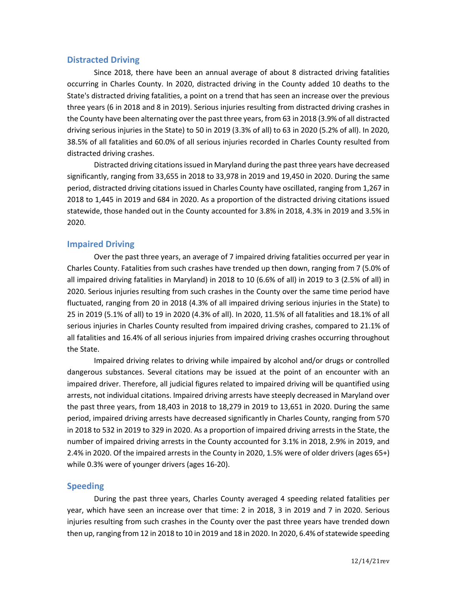### **Distracted Driving**

Since 2018, there have been an annual average of about 8 distracted driving fatalities occurring in Charles County. In 2020, distracted driving in the County added 10 deaths to the State's distracted driving fatalities, a point on a trend that has seen an increase over the previous three years (6 in 2018 and 8 in 2019). Serious injuries resulting from distracted driving crashes in the County have been alternating over the past three years, from 63 in 2018 (3.9% of all distracted driving serious injuries in the State) to 50 in 2019 (3.3% of all) to 63 in 2020 (5.2% of all). In 2020, 38.5% of all fatalities and 60.0% of all serious injuries recorded in Charles County resulted from distracted driving crashes.

Distracted driving citations issued in Maryland during the past three years have decreased significantly, ranging from 33,655 in 2018 to 33,978 in 2019 and 19,450 in 2020. During the same period, distracted driving citations issued in Charles County have oscillated, ranging from 1,267 in 2018 to 1,445 in 2019 and 684 in 2020. As a proportion of the distracted driving citations issued statewide, those handed out in the County accounted for 3.8% in 2018, 4.3% in 2019 and 3.5% in 2020.

## **Impaired Driving**

Over the past three years, an average of 7 impaired driving fatalities occurred per year in Charles County. Fatalities from such crashes have trended up then down, ranging from 7 (5.0% of all impaired driving fatalities in Maryland) in 2018 to 10 (6.6% of all) in 2019 to 3 (2.5% of all) in 2020. Serious injuries resulting from such crashes in the County over the same time period have fluctuated, ranging from 20 in 2018 (4.3% of all impaired driving serious injuries in the State) to 25 in 2019 (5.1% of all) to 19 in 2020 (4.3% of all). In 2020, 11.5% of all fatalities and 18.1% of all serious injuries in Charles County resulted from impaired driving crashes, compared to 21.1% of all fatalities and 16.4% of all serious injuries from impaired driving crashes occurring throughout the State.

Impaired driving relates to driving while impaired by alcohol and/or drugs or controlled dangerous substances. Several citations may be issued at the point of an encounter with an impaired driver. Therefore, all judicial figures related to impaired driving will be quantified using arrests, not individual citations. Impaired driving arrests have steeply decreased in Maryland over the past three years, from 18,403 in 2018 to 18,279 in 2019 to 13,651 in 2020. During the same period, impaired driving arrests have decreased significantly in Charles County, ranging from 570 in 2018 to 532 in 2019 to 329 in 2020. As a proportion of impaired driving arrests in the State, the number of impaired driving arrests in the County accounted for 3.1% in 2018, 2.9% in 2019, and 2.4% in 2020. Of the impaired arrests in the County in 2020, 1.5% were of older drivers (ages 65+) while 0.3% were of younger drivers (ages 16-20).

### **Speeding**

During the past three years, Charles County averaged 4 speeding related fatalities per year, which have seen an increase over that time: 2 in 2018, 3 in 2019 and 7 in 2020. Serious injuries resulting from such crashes in the County over the past three years have trended down then up,ranging from 12 in 2018 to 10 in 2019 and 18 in 2020. In 2020, 6.4% of statewide speeding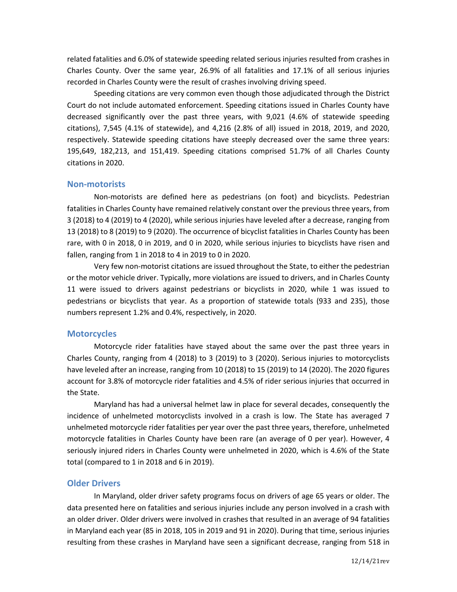related fatalities and 6.0% of statewide speeding related serious injuries resulted from crashes in Charles County. Over the same year, 26.9% of all fatalities and 17.1% of all serious injuries recorded in Charles County were the result of crashes involving driving speed.

Speeding citations are very common even though those adjudicated through the District Court do not include automated enforcement. Speeding citations issued in Charles County have decreased significantly over the past three years, with 9,021 (4.6% of statewide speeding citations), 7,545 (4.1% of statewide), and 4,216 (2.8% of all) issued in 2018, 2019, and 2020, respectively. Statewide speeding citations have steeply decreased over the same three years: 195,649, 182,213, and 151,419. Speeding citations comprised 51.7% of all Charles County citations in 2020.

#### **Non-motorists**

Non-motorists are defined here as pedestrians (on foot) and bicyclists. Pedestrian fatalities in Charles County have remained relatively constant over the previous three years, from 3 (2018) to 4 (2019) to 4 (2020), while serious injuries have leveled after a decrease, ranging from 13 (2018) to 8 (2019) to 9 (2020). The occurrence of bicyclist fatalities in Charles County has been rare, with 0 in 2018, 0 in 2019, and 0 in 2020, while serious injuries to bicyclists have risen and fallen, ranging from 1 in 2018 to 4 in 2019 to 0 in 2020.

Very few non-motorist citations are issued throughout the State, to either the pedestrian or the motor vehicle driver. Typically, more violations are issued to drivers, and in Charles County 11 were issued to drivers against pedestrians or bicyclists in 2020, while 1 was issued to pedestrians or bicyclists that year. As a proportion of statewide totals (933 and 235), those numbers represent 1.2% and 0.4%, respectively, in 2020.

#### **Motorcycles**

Motorcycle rider fatalities have stayed about the same over the past three years in Charles County, ranging from 4 (2018) to 3 (2019) to 3 (2020). Serious injuries to motorcyclists have leveled after an increase, ranging from 10 (2018) to 15 (2019) to 14 (2020). The 2020 figures account for 3.8% of motorcycle rider fatalities and 4.5% of rider serious injuries that occurred in the State.

Maryland has had a universal helmet law in place for several decades, consequently the incidence of unhelmeted motorcyclists involved in a crash is low. The State has averaged 7 unhelmeted motorcycle rider fatalities per year over the past three years, therefore, unhelmeted motorcycle fatalities in Charles County have been rare (an average of 0 per year). However, 4 seriously injured riders in Charles County were unhelmeted in 2020, which is 4.6% of the State total (compared to 1 in 2018 and 6 in 2019).

#### **Older Drivers**

In Maryland, older driver safety programs focus on drivers of age 65 years or older. The data presented here on fatalities and serious injuries include any person involved in a crash with an older driver. Older drivers were involved in crashes that resulted in an average of 94 fatalities in Maryland each year (85 in 2018, 105 in 2019 and 91 in 2020). During that time, serious injuries resulting from these crashes in Maryland have seen a significant decrease, ranging from 518 in